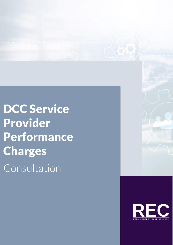DCC Service Provider **Performance** Charges

Consultation

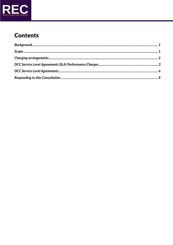

# **Contents**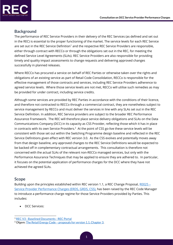

## <span id="page-2-0"></span>**Background**

The performance of REC Service Providers in their delivery of the REC Services (as defined and set out in the REC) is essential to the proper functioning of the market. The service levels for each REC Service are set out in the REC Service Definition<sup>1</sup> and the respective REC Service Providers are responsible, either through contract with RECCo or through the obligations set out in the REC, for meeting the defined Service Level Agreements (SLAs). REC Service Providers are also responsible for providing timely and quality impact assessments to change requests and delivering approved changes successfully in planned releases.

Where RECCo has procured a service on behalf of REC Parties or otherwise taken over the rights and obligations of an existing service as part of Retail Code Consolidation, RECCo is responsible for the effective management of those contracts and services, including REC Service Providers adherence to agreed service levels. Where those service levels are not met, RECCo will utilise such remedies as may be provided for under contract, including service credits.

Although some services are provided by REC Parties in accordance with the conditions of their licence, and therefore not contracted to RECCo through a commercial contract, they are nonetheless subject to service management by RECCo and must deliver the services in line with any SLAs set out in the REC Service Definition. In addition, REC Service providers are subject to the broader REC Performance Assurance Framework. The REC will therefore place service delivery obligations and SLAs on the Data Communications Company (DCC) in its capacity as CSS Provider, reflecting those which it has in place in contracts with its own Service Providers. $2$  At the point of CSS go-live these service levels will be consistent with those set out within the Switching Programme design baseline and reflected in the REC Service Definitions given effect with REC version 3.0. As the CSS evolves and potentially moves away from that design baseline, any approved changes to the REC Service Definitions would be expected to be backed off in complementary contractual arrangements. This consultation is therefore not concerned with the actual SLAs of the relevant non-RECCo managed services, but only with the Performance Assurance Techniques that may be applied to ensure they are adhered to. In particular, it focuses on the potential application of performance charges for the DCC where they have not achieved the agreed SLAs.

## <span id="page-2-1"></span>**Scope**

Building upon the principles established within REC version 1.1, a REC Change Proposal, [R0025](https://recportal.co.uk/group/guest/-/service-provider-performance-charges-erds-grds-dcc-) – [Service Provider Performance Charges \(ERDS, GRDS, CSS\),](https://recportal.co.uk/group/guest/-/service-provider-performance-charges-erds-grds-dcc-) has been raised by the REC Code Manager to introduce a performance charge regime for those Service Providers provided by Parties. This includes:

• DCC Services:

<sup>1</sup> REC V3 - [Baselined Documents -](https://recportal.co.uk/rec-v3-baselined-documents) REC Portal

<sup>2</sup> Ofgem: The Retail Energy Code – [proposals for version 1.1, Chapter 3.](https://www.ofgem.gov.uk/sites/default/files/docs/2020/10/201001_recv1.1_condoc_final4.pdf)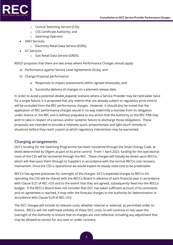

- o Central Switching Service (CSS);
- o CSS Certificate Authority; and
- o Switching Operator.
- DNO Services:
	- o Electricity Retail Data Service (EDRS).
- GT Services:
	- o Gas Retail Data Service (GRDS).

R0025 proposes that there are two areas where Performance Charges should apply:

- a) Performance against Service Level Agreements (SLAs); and
- b) Change Proposal performance:
	- a. Responses to impact assessments within agreed timescales; and
	- b. Successful delivery of changes on a planned release date.

In order to avoid a potential *double jeopardy* scenario where a Service Provider may be held liable twice for a single failure, it is proposed that any metrics that are already subject to regulatory price control will be excluded from the REC performance charges. However, it should also be noted that the application of REC performance charges would in no way indemnify a licensee from its obligation under licence or the REC and is without prejudice to any action that the Authority or the REC PAB may wish to take in respect of a serious and/or systemic failure to discharge those obligations. These proposals are intended to provide a relatively quick, proportionate and light touch remedy to situations before they reach a point at which regulatory intervention may be warranted.

#### <span id="page-3-0"></span>**Charging arrangements**

DCC's funding for the Switching Programme has been recovered through the Smart Energy Code, at levels determined by Ofgem as part of its price control. From 1 April 2023, funding for the operational costs of the CSS will be recovered through the REC. These charges will initially be levied upon RECCo, which will then pass them through to Suppliers in accordance with the normal RECCo cost recovery mechanism. Once the CSS is operational we would expect its steady state cost to be predictable.

RECCo has agreed processes for oversight of the charges. DCC's expected charges to RECCo for operating the CSS will be shared with the RECCo Board in advance of each financial year in accordance with Clause 9.27 of REC v3.0 and to the extent that they are agreed, subsequently feed into the RECCo budget. If the RECCo Board does not consider that DCC has taken sufficient account of its comments and no agreement is reached, it may refer the forecast charges to the Authority for determination in accordance with Clause 9.29 of REC v3.0.

The DCC charges will include its relevant costs, whether internal or external, as permitted under its licence. RECCo will not itself have visibility of those DCC costs, so will continue to rely upon the oversight of the Authority to ensure that its charges are cost-reflective, including any adjustment that may be allowed to correct for any over or under recovery.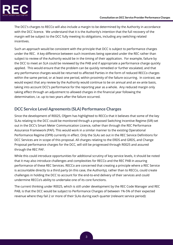

The DCC's charges to RECCo will also include a margin to be determined by the Authority in accordance with the DCC licence. We understand that it is the Authority's intention that the full recovery of the margin will be subject to the DCC fully meeting its obligations, including any switching related incentives.

Such an approach would be consistent with the principle that DCC is subject to performance charges under the REC. A key difference between such incentives being operated under the REC rather than subject to review of the Authority would be in the timing of their application. For example, failure by the DCC to meet an SLA could be reviewed by the PAB and if appropriate a performance charge quickly applied. This would ensure that the problem can be quickly remedied or further escalated, and that any performance charges would be returned to affected Parties in the form of reduced RECCo charges within the same period, or at least one period, within proximity of the failure occurring. In contrast, we would expect that any review by the Authority would continue to be on annual and an ex-ante basis, taking into account DCC's performance for the reporting year as a whole. Any reduced margin only taking effect through an adjustment to allowed charges in the financial year following the determination, i.e. up to two years after the failure occurred.

# <span id="page-4-0"></span>**DCC Service Level Agreements (SLA) Performance Charges**

Since the development of R0025, Ofgem has highlighted to RECCo that it believes that some of the key SLAs relating to the DCC could be monitored through a proposed Switching Incentive Regime (SIR) set out in the DCC's Smart Meter Communication Licence, rather than through the REC Performance Assurance Framework (PAF). This would work in a similar manner to the existing Operational Performance Regime (OPR) currently in effect. Only the SLAs set out in the REC Service Definitions for DCC Services are in scope of this proposal. All charges relating to the ERDS and GRDS, and Change Proposal performance charges for the DCC, will still be progressed through R0025 and assured through the REC PAF.

While this could introduce opportunities for additional scrutiny of key service levels, it should be noted that it may also introduce challenges and complexities for RECCo and the REC PAB in assuring performance of these REC Services. RECCo are concerned that creating a principle where a REC Service is accountable directly to a third party (in this case, the Authority), rather than to RECCo, could create challenges in holding the DCC to account for the end-to-end delivery of their services and could undermine RECCo's ability to undertake one of its core functions.

The current thinking under R0025, which is still under development by the REC Code Manager and REC PAB, is that the DCC would be subject to Performance Charges of between 1%-5% of their expected revenue where they fail 2 or more of their SLAs during each quarter (relevant service period):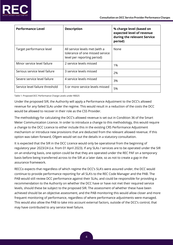

| <b>Performance Level</b>        | <b>Description</b>                                                                               | % charge level (based on<br>expected level of revenue<br>during the relevant Service<br>period) |
|---------------------------------|--------------------------------------------------------------------------------------------------|-------------------------------------------------------------------------------------------------|
| Target performance level        | All service levels met (with a<br>tolerance of one missed service<br>level per reporting period) | None                                                                                            |
| Minor service level failure     | 2 service levels missed                                                                          | 1%                                                                                              |
| Serious service level failure   | 3 service levels missed                                                                          | 2%                                                                                              |
| Severe service level failure    | 4 service levels missed                                                                          | 3%                                                                                              |
| Service level failure threshold | 5 or more service levels missed                                                                  | 5%                                                                                              |

Table 1: Proposed DCC Performance Charge Levels under R0025

Under the proposed SIR, the Authority will apply a Performance Adjustment to the DCC's allowed revenue for any failed SLAs under the regime. This would result in a reduction of the costs the DCC would be allowed to recover in their role as the CSS Provider.

The methodology for calculating the DCC's allowed revenue is set out in Condition 36 of the Smart Meter Communication Licence. In order to introduce a change to this methodology, this would require a change to the DCC Licence to either include this in the existing CRS Performance Adjustment mechanism or introduce new provisions that are deducted from the relevant allowed revenue. If this option was taken forward, Ofgem would set out the details in a statutory consultation.

It is expected that the SIR in the DCC Licence would only be operational from the beginning of regulatory year 2023/24 (i.e. from 01 April 2023). If any SLAs / services are to be operated under the SIR on an enduring basis, one option could be that they are operated under the REC PAF on a temporary basis before being transferred across to the SIR at a later date, so as not to create a gap in the assurance framework.

RECCo expects that regardless of which regime the DCC's SLA's were assured under, the DCC would continue to provide performance reporting for all SLA's to the REC Code Manager and the PAB. The PAB would still review DCC performance against their SLAs, and could be responsible for providing a recommendation to the Authority on whether the DCC have or have not met their required service levels, should these be subject to the proposed SIR. The assessment of whether these have been achieved should be an objective assessment, and the PAB monitoring this would allow closer and more frequent monitoring of performance, regardless of where performance adjustments were managed. This would also allow the PAB to take into account external factors, outside of the DCC's control, that may have contributed to any service level failure.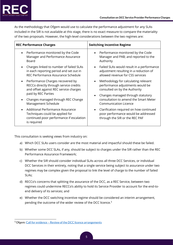

As the methodology that Ofgem would use to calculate the performance adjustment for any SLAs included in the SIR is not available at this stage, there is no exact measure to compare the materiality of the two proposals. However, the high-level considerations between the two regimes are:

| <b>REC Performance Charges</b>                                                                                                              | <b>Switching Incentive Regime</b>                                                                                       |  |
|---------------------------------------------------------------------------------------------------------------------------------------------|-------------------------------------------------------------------------------------------------------------------------|--|
| Performance monitored by the Code<br>$\bullet$<br>Manager and Performance Assurance<br>Board                                                | Performance monitored by the Code<br>Manager and PAB; and reported to the<br>Authority                                  |  |
| Charges linked to number of failed SLAs<br>$\bullet$<br>in each reporting period and set out in<br>REC Performance Assurance Schedule       | Failed SLAs would result in a performance<br>adjustment resulting in a reduction of<br>allowed revenue for CSS services |  |
| Performance Charges recovered by<br>$\bullet$<br>RECCo directly through service credits<br>and offset against REC service charges           | Methodology for calculating relevant<br>performance adjustments would be<br>consulted on by the Authority               |  |
| paid by REC Parties<br>Changes managed through REC Change<br>Management Schedule                                                            | Changes managed through statutory<br>consultation to amend the Smart Meter<br><b>Communication Licence</b>              |  |
| Additional Performance Assurance<br>$\bullet$<br>Techniques could be applied for<br>continued poor performance if escalation<br>is required | Clarification required on how continued<br>poor performance would be addressed<br>through the SIR or the REC PAF        |  |

This consultation is seeking views from industry on:

- a) Which DCC SLAs users consider are the most material and impactful should these be failed.
- b) Whether some DCC SLAs, if any, should be subject to charges under the SIR rather than the REC Performance Assurance Framework;
- c) Whether the SIR should consider individual SLAs across all three DCC Services, or individual DCC Services in their entirety, noting that a single service being subject to assurance under two regimes may be complex given the proposal to link the level of charge to the number of failed SLAs;
- d) RECCo's concerns that splitting the assurance of the DCC, as a REC Service, between two regimes could undermine RECCo's ability to hold its Service Provider to account for the end-toend delivery of its services; and
- e) Whether the DCC switching incentive regime should be considered an interim arrangement, pending the outcome of the wider review of the DCC licence.<sup>3</sup>

<sup>&</sup>lt;sup>3</sup> Ofgem: Call for evidence - [Review of the DCC licence arrangements](https://www.ofgem.gov.uk/publications/call-evidence-review-dcc-licence-arrangements)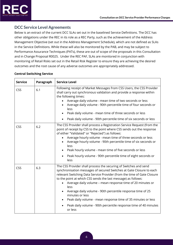

## <span id="page-7-0"></span>**DCC Service Level Agreements**

Below is an extract of the current DCC SLAs set out in the baselined Service Definitions. The DCC has other obligations under the REC in its role as a REC Party, such as the achievement of the Address Management Objective (set out in the Address Management Schedule), which are not defined as SLAs in the Service Definitions. While these will also be monitored by the PAB, and may be subject to Performance Assurance Techniques (PATs), these are out of scope of the proposals in this Consultation and in Change Proposal R0025. Under the REC PAF, SLAs are monitored in conjunction with monitoring of Retail Risks set out in the Retail Risk Register to ensure they are achieving the desired outcomes and the root cause of any adverse outcomes are appropriately addressed.

#### **Central Switching Service**

| <b>Service</b> | Paragraph | <b>Service Level</b>                                                                                                                                                                                                                                                                                                                                                                                                                                                                                                                                                                      |
|----------------|-----------|-------------------------------------------------------------------------------------------------------------------------------------------------------------------------------------------------------------------------------------------------------------------------------------------------------------------------------------------------------------------------------------------------------------------------------------------------------------------------------------------------------------------------------------------------------------------------------------------|
| CSS            | 6.1       | Following receipt of Market Messages from CSS Users, the CSS Provider<br>shall carry out synchronous validation and provide a response within<br>the following times:<br>Average daily volume - mean time of two seconds or less<br>Average daily volume - 90th percentile time of four seconds or<br>less<br>Peak daily volume - mean time of three seconds or less<br>Peak daily volume - 90th percentile time of six seconds or less                                                                                                                                                   |
| CSS            | 6.2       | The CSS Provider shall process a Registration Service Request (from the<br>point of receipt by CSS to the point where CSS sends out the response<br>of either "Validated" or "Rejected") as follows:<br>Average hourly volume - mean time of three seconds or less<br>Average hourly volume - 90th percentile time of six seconds or<br>less<br>Peak hourly volume - mean time of five seconds or less<br>Peak hourly volume - 90th percentile time of eight seconds or<br>$\bullet$<br>less                                                                                              |
| CSS            | 6.3       | The CSS Provider shall process the securing of Switches and send<br>synchronisation messages of secured Switches at Gate Closure to each<br>relevant Switching Data Service Provider (from the time of Gate Closure<br>to the point at which CSS sends the last message) as follows:<br>Average daily volume - mean response time of 20 minutes or<br>less<br>Average daily volume - 90th percentile response time of 25<br>minutes or less<br>Peak daily volume - mean response time of 35 minutes or less<br>Peak daily volume - 90th percentile response time of 40 minutes<br>or less |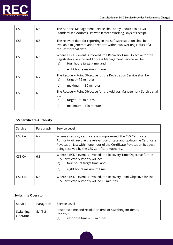

| <b>CSS</b> | 6.4 | The Address Management Service shall apply updates to its GB<br>Standardised Address List within three Working Days of receipt.                                                                              |
|------------|-----|--------------------------------------------------------------------------------------------------------------------------------------------------------------------------------------------------------------|
| <b>CSS</b> | 6.5 | The relevant data for reporting in the software solution shall be<br>available to generate adhoc reports within two Working Hours of a<br>request for that data.                                             |
| <b>CSS</b> | 6.6 | Where a BCDR event is invoked, the Recovery Time Objective for the<br>Registration Service and Address Management Service will be:<br>four hours target time; and<br>(a)<br>eight hours maximum time.<br>(b) |
| <b>CSS</b> | 6.7 | The Recovery Point Objective for the Registration Service shall be:<br>target - 15 minutes<br>(a)<br>(b)<br>maximum - 30 minutes                                                                             |
| <b>CSS</b> | 6.8 | The Recovery Point Objective for the Address Management Service shall<br>be:<br>target - 60 minutes<br>(a)<br>(b)<br>maximum - 120 minutes                                                                   |

# **CSS Certificate Authority**

| Service | Paragraph | Service Level                                                                                                                                                                                                                                                              |
|---------|-----------|----------------------------------------------------------------------------------------------------------------------------------------------------------------------------------------------------------------------------------------------------------------------------|
| CSS CA  | 6.2       | Where a security certificate is compromised, the CSS Certificate<br>Authority will revoke the relevant certificate and update the Certificate<br>Revocation List within one hour of the Certificate Revocation Request<br>being received by the CSS Certificate Authority. |
| CSS CA  | 6.3       | Where a BCDR event is invoked, the Recovery Time Objective for the<br>CSS Certificate Authority will be:<br>four hours target time; and<br>(a)<br>eight hours maximum time.<br>(b)                                                                                         |
| CSS CA  | 6.4       | Where a BCDR event is invoked, the Recovery Point Objective for the<br>CSS Certificate Authority will be 15 minutes.                                                                                                                                                       |

#### **Switching Operator**

| Service               | Paragraph | Service Level                                                                                                 |
|-----------------------|-----------|---------------------------------------------------------------------------------------------------------------|
| Switching<br>Operator | 5.1/5.2   | Response time and resolution time of Switching Incidents.<br>Priority 1:<br>response time - 30 minutes<br>(a) |